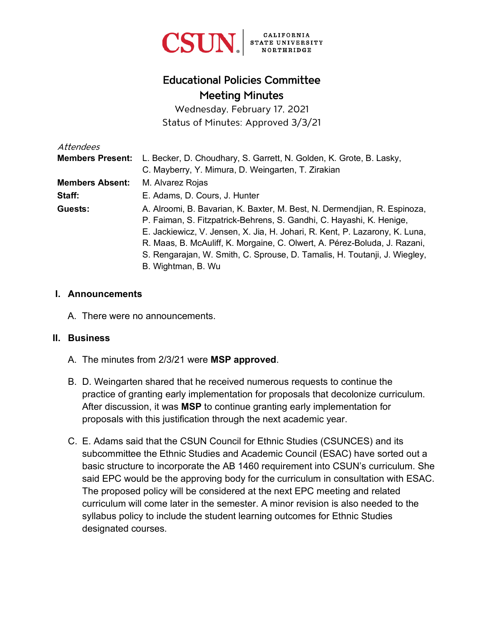

# Educational Policies Committee Meeting Minutes

Wednesday, February 17, 2021 Status of Minutes: Approved 3/3/21

| Attendees               |                                                                                                                                                   |
|-------------------------|---------------------------------------------------------------------------------------------------------------------------------------------------|
| <b>Members Present:</b> | L. Becker, D. Choudhary, S. Garrett, N. Golden, K. Grote, B. Lasky,                                                                               |
|                         | C. Mayberry, Y. Mimura, D. Weingarten, T. Zirakian                                                                                                |
| <b>Members Absent:</b>  | M. Alvarez Rojas                                                                                                                                  |
| Staff:                  | E. Adams, D. Cours, J. Hunter                                                                                                                     |
| Guests:                 | A. Alroomi, B. Bavarian, K. Baxter, M. Best, N. Dermendjian, R. Espinoza,<br>P. Faiman, S. Fitzpatrick-Behrens, S. Gandhi, C. Hayashi, K. Henige, |
|                         | E. Jackiewicz, V. Jensen, X. Jia, H. Johari, R. Kent, P. Lazarony, K. Luna,                                                                       |
|                         | R. Maas, B. McAuliff, K. Morgaine, C. Olwert, A. Pérez-Boluda, J. Razani,                                                                         |
|                         | S. Rengarajan, W. Smith, C. Sprouse, D. Tamalis, H. Toutanji, J. Wiegley,                                                                         |
|                         | B. Wightman, B. Wu                                                                                                                                |

#### **I. Announcements**

A. There were no announcements.

#### **II. Business**

- A. The minutes from 2/3/21 were **MSP approved**.
- B. D. Weingarten shared that he received numerous requests to continue the practice of granting early implementation for proposals that decolonize curriculum. After discussion, it was **MSP** to continue granting early implementation for proposals with this justification through the next academic year.
- C. E. Adams said that the CSUN Council for Ethnic Studies (CSUNCES) and its subcommittee the Ethnic Studies and Academic Council (ESAC) have sorted out a basic structure to incorporate the AB 1460 requirement into CSUN's curriculum. She said EPC would be the approving body for the curriculum in consultation with ESAC. The proposed policy will be considered at the next EPC meeting and related curriculum will come later in the semester. A minor revision is also needed to the syllabus policy to include the student learning outcomes for Ethnic Studies designated courses.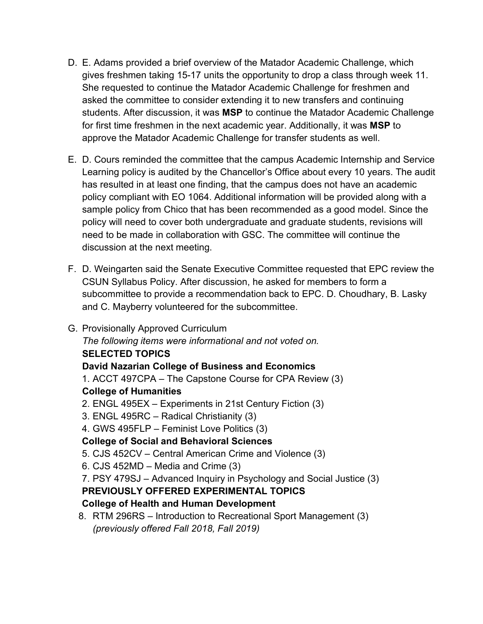- D. E. Adams provided a brief overview of the Matador Academic Challenge, which gives freshmen taking 15-17 units the opportunity to drop a class through week 11. She requested to continue the Matador Academic Challenge for freshmen and asked the committee to consider extending it to new transfers and continuing students. After discussion, it was **MSP** to continue the Matador Academic Challenge for first time freshmen in the next academic year. Additionally, it was **MSP** to approve the Matador Academic Challenge for transfer students as well.
- E. D. Cours reminded the committee that the campus Academic Internship and Service Learning policy is audited by the Chancellor's Office about every 10 years. The audit has resulted in at least one finding, that the campus does not have an academic policy compliant with EO 1064. Additional information will be provided along with a sample policy from Chico that has been recommended as a good model. Since the policy will need to cover both undergraduate and graduate students, revisions will need to be made in collaboration with GSC. The committee will continue the discussion at the next meeting.
- F. D. Weingarten said the Senate Executive Committee requested that EPC review the CSUN Syllabus Policy. After discussion, he asked for members to form a subcommittee to provide a recommendation back to EPC. D. Choudhary, B. Lasky and C. Mayberry volunteered for the subcommittee.
- G. Provisionally Approved Curriculum *The following items were informational and not voted on.* **SELECTED TOPICS David Nazarian College of Business and Economics**  1. ACCT 497CPA – The Capstone Course for CPA Review (3) **College of Humanities** 2. ENGL 495EX – Experiments in 21st Century Fiction (3) 3. ENGL 495RC – Radical Christianity (3) 4. GWS 495FLP – Feminist Love Politics (3) **College of Social and Behavioral Sciences** 5. CJS 452CV – Central American Crime and Violence (3) 6. CJS 452MD – Media and Crime (3) 7. PSY 479SJ – Advanced Inquiry in Psychology and Social Justice (3) **PREVIOUSLY OFFERED EXPERIMENTAL TOPICS**

#### **College of Health and Human Development**

8. RTM 296RS – Introduction to Recreational Sport Management (3) *(previously offered Fall 2018, Fall 2019)*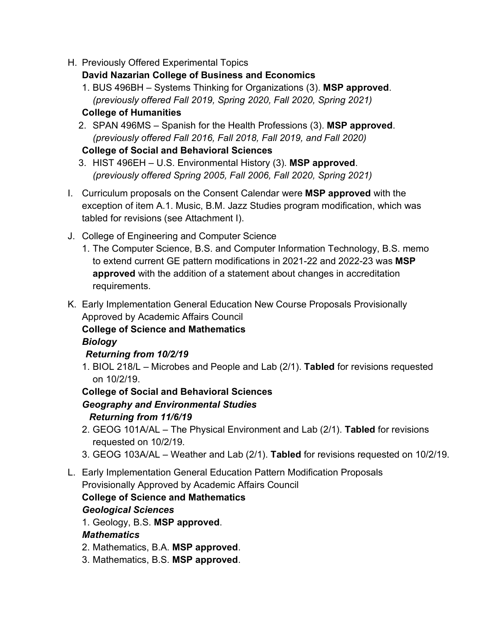- H. Previously Offered Experimental Topics
	- **David Nazarian College of Business and Economics**
	- 1. BUS 496BH Systems Thinking for Organizations (3). **MSP approved**. *(previously offered Fall 2019, Spring 2020, Fall 2020, Spring 2021)* **College of Humanities**
	- 2. SPAN 496MS Spanish for the Health Professions (3). **MSP approved**. *(previously offered Fall 2016, Fall 2018, Fall 2019, and Fall 2020)*

#### **College of Social and Behavioral Sciences**

- 3. HIST 496EH U.S. Environmental History (3). **MSP approved**. *(previously offered Spring 2005, Fall 2006, Fall 2020, Spring 2021)*
- I. Curriculum proposals on the Consent Calendar were **MSP approved** with the exception of item A.1. Music, B.M. Jazz Studies program modification, which was tabled for revisions (see Attachment I).
- J. College of Engineering and Computer Science
	- 1. The Computer Science, B.S. and Computer Information Technology, B.S. memo to extend current GE pattern modifications in 2021-22 and 2022-23 was **MSP approved** with the addition of a statement about changes in accreditation requirements.
- K. Early Implementation General Education New Course Proposals Provisionally Approved by Academic Affairs Council

# **College of Science and Mathematics**

### *Biology*

# *Returning from 10/2/19*

1. BIOL 218/L – Microbes and People and Lab (2/1). **Tabled** for revisions requested on 10/2/19.

# **College of Social and Behavioral Sciences**

#### *Geography and Environmental Studies Returning from 11/6/19*

- 2. GEOG 101A/AL The Physical Environment and Lab (2/1). **Tabled** for revisions requested on 10/2/19.
- 3. GEOG 103A/AL Weather and Lab (2/1). **Tabled** for revisions requested on 10/2/19.
- L. Early Implementation General Education Pattern Modification Proposals Provisionally Approved by Academic Affairs Council

# **College of Science and Mathematics**

### *Geological Sciences*

1. Geology, B.S. **MSP approved**.

### *Mathematics*

- 2. Mathematics, B.A. **MSP approved**.
- 3. Mathematics, B.S. **MSP approved**.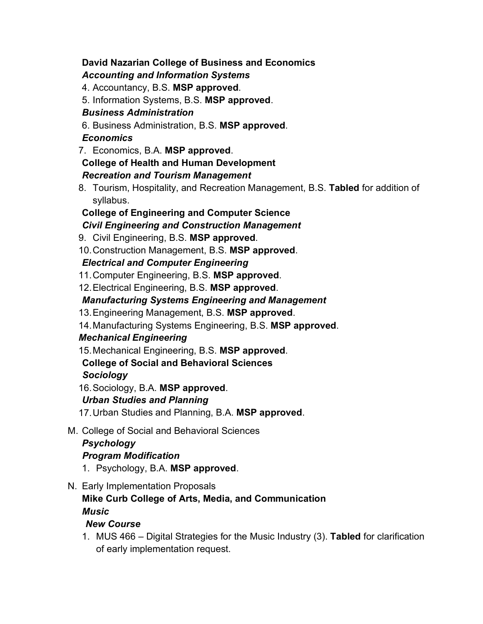# **David Nazarian College of Business and Economics**

*Accounting and Information Systems*

- 4. Accountancy, B.S. **MSP approved**.
- 5. Information Systems, B.S. **MSP approved**.

### *Business Administration*

6. Business Administration, B.S. **MSP approved**.

### *Economics*

- 7. Economics, B.A. **MSP approved**. **College of Health and Human Development** *Recreation and Tourism Management*
- 8. Tourism, Hospitality, and Recreation Management, B.S. **Tabled** for addition of syllabus.

# **College of Engineering and Computer Science**

## *Civil Engineering and Construction Management*

- 9. Civil Engineering, B.S. **MSP approved**.
- 10. Construction Management, B.S. **MSP approved**.

# *Electrical and Computer Engineering*

- 11.Computer Engineering, B.S. **MSP approved**.
- 12. Electrical Engineering, B.S. **MSP approved**.

# *Manufacturing Systems Engineering and Management*

- 13.Engineering Management, B.S. **MSP approved**.
- 14. Manufacturing Systems Engineering, B.S. **MSP approved**.

### *Mechanical Engineering*

15. Mechanical Engineering, B.S. **MSP approved**.

# **College of Social and Behavioral Sciences**

# *Sociology*

16. Sociology, B.A. **MSP approved**.

# *Urban Studies and Planning*

17. Urban Studies and Planning, B.A. **MSP approved**.

# M. College of Social and Behavioral Sciences

#### *Psychology Program Modification*

- 1. Psychology, B.A. **MSP approved**.
- N. Early Implementation Proposals

# **Mike Curb College of Arts, Media, and Communication** *Music*

# *New Course*

1. MUS 466 – Digital Strategies for the Music Industry (3). **Tabled** for clarification of early implementation request.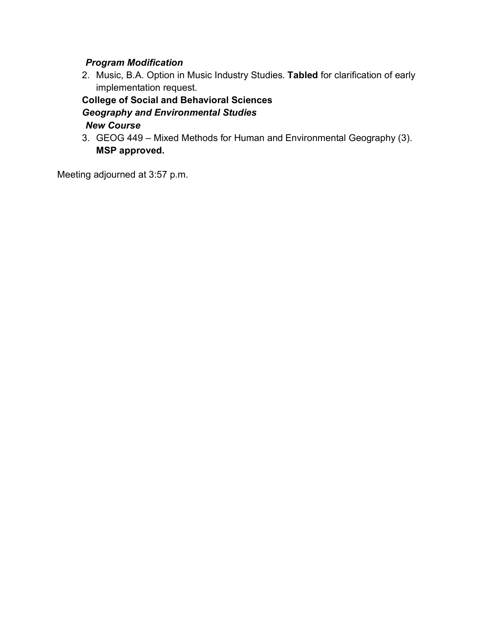#### *Program Modification*

2. Music, B.A. Option in Music Industry Studies. **Tabled** for clarification of early implementation request.

**College of Social and Behavioral Sciences** *Geography and Environmental Studies*

#### *New Course*

3. GEOG 449 – Mixed Methods for Human and Environmental Geography (3). **MSP approved.**

Meeting adjourned at 3:57 p.m.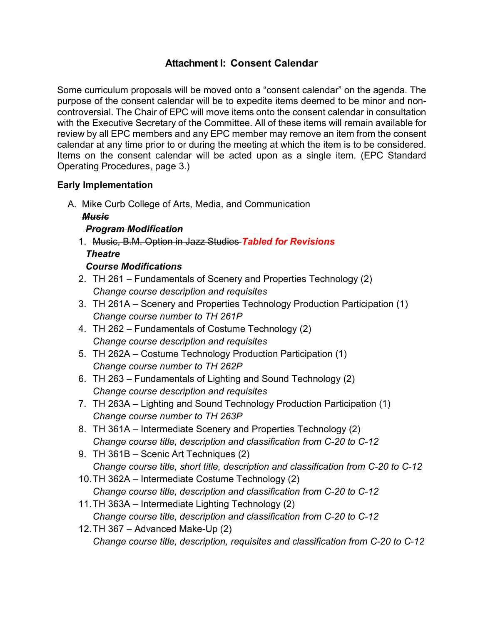### **Attachment I: Consent Calendar**

Some curriculum proposals will be moved onto a "consent calendar" on the agenda. The purpose of the consent calendar will be to expedite items deemed to be minor and noncontroversial. The Chair of EPC will move items onto the consent calendar in consultation with the Executive Secretary of the Committee. All of these items will remain available for review by all EPC members and any EPC member may remove an item from the consent calendar at any time prior to or during the meeting at which the item is to be considered. Items on the consent calendar will be acted upon as a single item. (EPC Standard Operating Procedures, page 3.)

#### **Early Implementation**

- A. Mike Curb College of Arts, Media, and Communication
	- *Music*

#### *Program Modification*

1. Music, B.M. Option in Jazz Studies *Tabled for Revisions Theatre*

#### *Course Modifications*

- 2. TH 261 Fundamentals of Scenery and Properties Technology (2) *Change course description and requisites*
- 3. TH 261A Scenery and Properties Technology Production Participation (1) *Change course number to TH 261P*
- 4. TH 262 Fundamentals of Costume Technology (2) *Change course description and requisites*
- 5. TH 262A Costume Technology Production Participation (1) *Change course number to TH 262P*
- 6. TH 263 Fundamentals of Lighting and Sound Technology (2) *Change course description and requisites*
- 7. TH 263A Lighting and Sound Technology Production Participation (1) *Change course number to TH 263P*
- 8. TH 361A Intermediate Scenery and Properties Technology (2) *Change course title, description and classification from C-20 to C-12*
- 9. TH 361B Scenic Art Techniques (2) *Change course title, short title, description and classification from C-20 to C-12*
- 10.TH 362A Intermediate Costume Technology (2) *Change course title, description and classification from C-20 to C-12*
- 11.TH 363A Intermediate Lighting Technology (2) *Change course title, description and classification from C-20 to C-12*
- 12.TH 367 Advanced Make-Up (2) *Change course title, description, requisites and classification from C-20 to C-12*